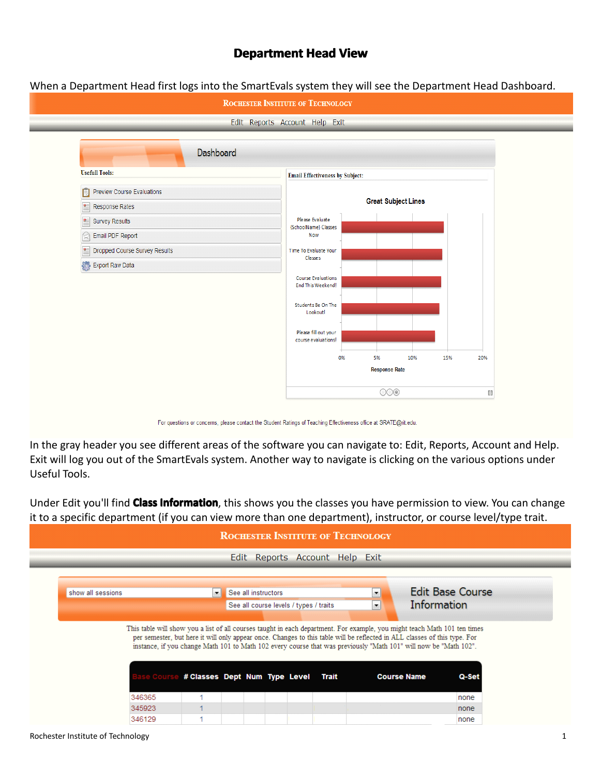## **Department Head View**

When <sup>a</sup> Department Head first logs into the SmartEvals system they will see the Department Head Dashboard.



For questions or concerns, please contact the Student Ratings of Teaching Effectiveness office at SRATE@rit.edu.

In the gray header you see different areas of the software you can navigate to: Edit, Reports, Account and Help. Exit will log you out of the SmartEvals system. Another way to navigate is clicking on the various options under Useful Tools.

Under Edit you'll find **Class Information**, this shows you the classes you have permission to view. You can change it to <sup>a</sup> specific department (if you can view more than one department), instructor, or course level/type trait.

|                   |        |                                     | Edit Reports Account Help Exit         |  |                      |                                                                                                                                                                                                                                                                     |                         |
|-------------------|--------|-------------------------------------|----------------------------------------|--|----------------------|---------------------------------------------------------------------------------------------------------------------------------------------------------------------------------------------------------------------------------------------------------------------|-------------------------|
|                   |        |                                     |                                        |  |                      |                                                                                                                                                                                                                                                                     |                         |
| show all sessions |        | $\vert$                             | See all instructors                    |  | $\blacktriangledown$ |                                                                                                                                                                                                                                                                     | <b>Edit Base Course</b> |
|                   |        |                                     | See all course levels / types / traits |  | $\vert \cdot \vert$  | Information                                                                                                                                                                                                                                                         |                         |
|                   |        |                                     |                                        |  |                      |                                                                                                                                                                                                                                                                     |                         |
|                   |        |                                     |                                        |  |                      | This table will show you a list of all courses taught in each department. For example, you might teach Math 101 ten times                                                                                                                                           |                         |
|                   |        | # Classes Dept Num Type Level Trait |                                        |  |                      | per semester, but here it will only appear once. Changes to this table will be reflected in ALL classes of this type. For<br>instance, if you change Math 101 to Math 102 every course that was previously "Math 101" will now be "Math 102".<br><b>Course Name</b> | Q-Set                   |
|                   | 346365 |                                     |                                        |  |                      |                                                                                                                                                                                                                                                                     | none                    |
|                   | 345923 |                                     |                                        |  |                      |                                                                                                                                                                                                                                                                     | none                    |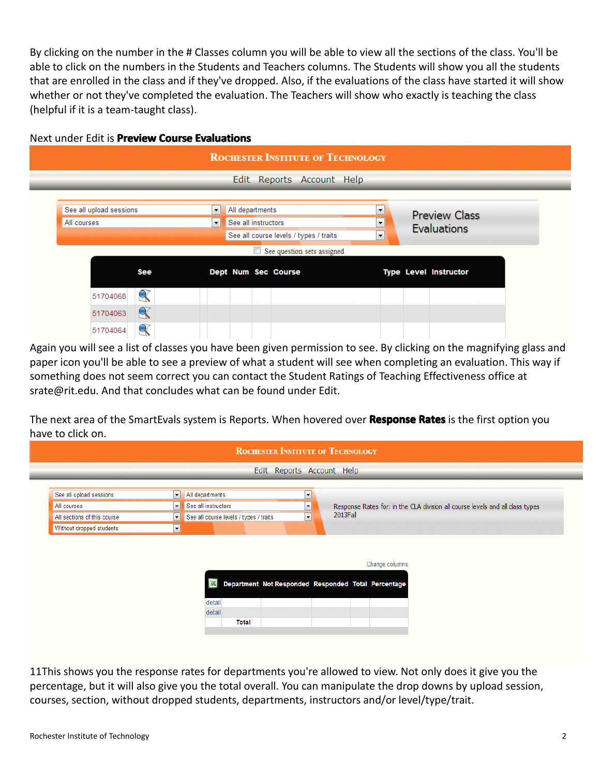By clicking on the number in the # Classes column you will be able to view all the sections of the class. You'll be able to click on the numbers in the Students and Teachers columns. The Students will show you all the students that are enrolled in the class and if they've dropped. Also, if the evaluations of the class have started it will show whether or not they've completed the evaluation. The Teachers will show who exactly is teaching the class (helpful if it is <sup>a</sup> team-taught class).



Again you will see a list of classes you have been given permission to see. By clicking on the magnifying glass and paper icon you'll be able to see <sup>a</sup> preview of what <sup>a</sup> student will see when completing an evaluation. This way if something does not seem correct you can contact the Student Ratings of Teaching Effectiveness office at srate@rit.edu. And that concludes what can be found under Edit.

The next area of the SmartEvals system is Reports. When hovered over **Response Rates** is the first option you have to click on.

|                             |                          | <b>ROCHESTER INSTITUTE OF TECHNOLOGY</b>            |                      |                                                                               |                |  |
|-----------------------------|--------------------------|-----------------------------------------------------|----------------------|-------------------------------------------------------------------------------|----------------|--|
|                             |                          | Edit Reports Account Help                           |                      |                                                                               |                |  |
| See all upload sessions     | $\mathbf{r}$             | All departments                                     | $\cdot$              |                                                                               |                |  |
| All courses                 |                          | $\blacktriangleright$ See all instructors           | $\blacktriangledown$ | Response Rates for: in the CLA division all course levels and all class types |                |  |
| All sections of this course | $\mathbf{r}$             | See all course levels / types / traits              | $\vert \cdot \vert$  | 2013Fall                                                                      |                |  |
| Without dropped students    | $\overline{\phantom{a}}$ |                                                     |                      |                                                                               |                |  |
|                             |                          |                                                     |                      |                                                                               |                |  |
|                             |                          |                                                     |                      |                                                                               | Change columns |  |
|                             |                          | Department Not Responded Responded Total Percentage |                      |                                                                               |                |  |
|                             |                          | detail                                              |                      |                                                                               |                |  |
|                             |                          | detail                                              |                      |                                                                               |                |  |

11This shows you the response rates for departments you're allowed to view. Not only does it give you the percentage, but it will also give you the total overall. You can manipulate the drop downs by upload session, courses, section, without dropped students, departments, instructors and/or level/type/trait.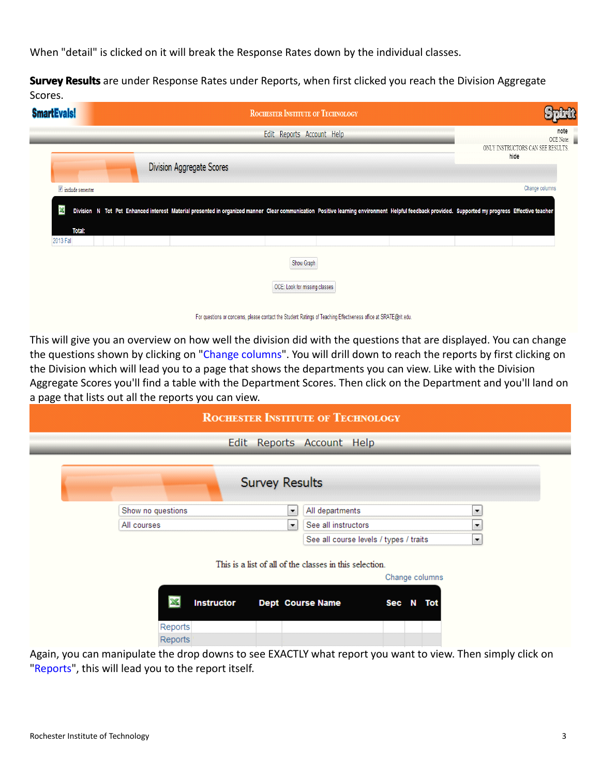When "detail" is clicked on it will break the Response Rates down by the individual classes.

**Survey Results** are under Response Rates under Reports, when first clicked you reach the Division Aggregate Scores.

| <b>SmartEvals!</b> |                                                                                                                                                                                                  | <b>ROCHESTER INSTITUTE OF TECHNOLOGY</b> |  |                                           |
|--------------------|--------------------------------------------------------------------------------------------------------------------------------------------------------------------------------------------------|------------------------------------------|--|-------------------------------------------|
|                    |                                                                                                                                                                                                  | Edit Reports Account Help                |  | note<br>OCE Note:                         |
|                    | Division Aggregate Scores                                                                                                                                                                        |                                          |  | ONLY INSTRUCTORS CAN SEE RESULTS.<br>hide |
| include semester   |                                                                                                                                                                                                  |                                          |  | Change columns                            |
| X                  | Division N Tot Pct Enhanced interest Material presented in organized manner Clear communication Positive learning environment Helpful feedback provided. Supported my progress Effective teacher |                                          |  |                                           |
| Total:             |                                                                                                                                                                                                  |                                          |  |                                           |
| 2013 Fal           |                                                                                                                                                                                                  |                                          |  |                                           |
|                    |                                                                                                                                                                                                  | Show Graph                               |  |                                           |
|                    |                                                                                                                                                                                                  | OCE: Look for missing classes            |  |                                           |
|                    |                                                                                                                                                                                                  |                                          |  |                                           |

For questions or concerns, please contact the Student Ratings of Teaching Effectiveness office at SRATE@rit.edu.

This will give you an overview on how well the division did with the questions that are displayed. You can change the questions shown by clicking on "Change columns". You will drill down to reach the reports by first clicking on the Division which will lead you to <sup>a</sup> page that shows the departments you can view. Like with the Division Aggregate Scores you'll find <sup>a</sup> table with the Department Scores. Then click on the Department andyou'll land on <sup>a</sup> page that lists out all the reports you can view.

|                                           | <b>ROCHESTER INSTITUTE OF TECHNOLOGY</b>                                  |
|-------------------------------------------|---------------------------------------------------------------------------|
|                                           | Edit Reports Account Help                                                 |
| <b>Survey Results</b>                     |                                                                           |
| Show no questions<br>$\blacktriangledown$ | All departments<br>▼                                                      |
| All courses<br>$\blacktriangledown$       | See all instructors<br>۰                                                  |
|                                           | $\blacktriangledown$<br>See all course levels / types / traits            |
|                                           | This is a list of all of the classes in this selection.<br>Change columns |
| <b>Instructor</b>                         | Dept Course Name<br>Sec N<br>Tot                                          |
| Reports                                   |                                                                           |
| Reports<br>$\ddot{\phantom{1}}$           | $\blacksquare$<br>$\sim$ $\sim$ $\sim$ $\sim$                             |

Again, you can manipulate the drop downs to see EXACTLY what report you want to view. Then simply click on "Reports", this will lead you to the report itself.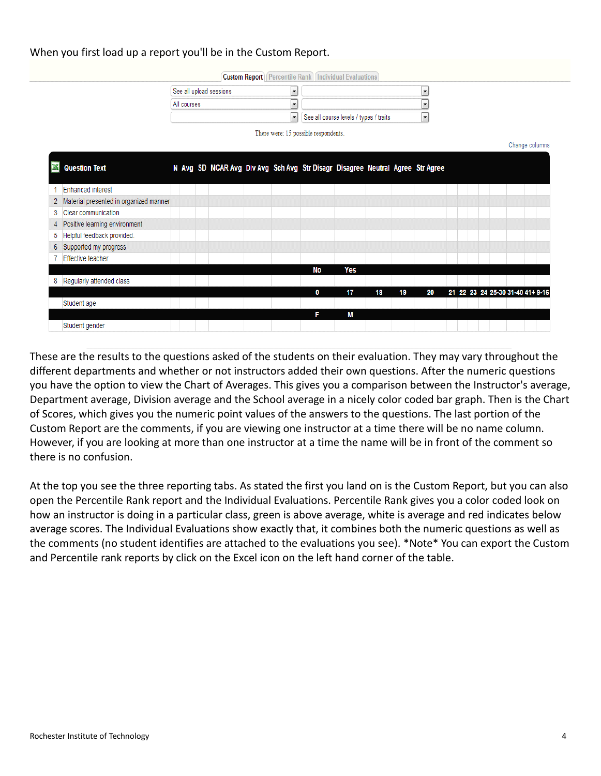## When you first load up <sup>a</sup> report you'll be in the Custom Report.

**Custom Report** Percentile Rank Individual Evaluations

| See all upload sessions |                                        |  |
|-------------------------|----------------------------------------|--|
| All courses             |                                        |  |
|                         | See all course levels / types / traits |  |

There were: 15 possible respondents.

## Change columns **X** Question Text N Avg SD NCAR Avg Div Avg Sch Avg Str Disagr Disagree Neutral Agree Str Agree 1 Enhanced interest 2 Material presented in organized manner 3 Clear communication 4 Positive learning environment 5 Helpful feedback provided. 6 Supported my progress 7 Effective teacher **No** Yes 8 Regularly attended class 17 20 21 22 23 24 25-30 31-40 41+ 9-1 Student age M Student gender

These are the results to the questions asked of the students on their evaluation. They may vary throughout the different departments and whether or not instructors added their own questions. After the numeric questions you have the option to view the Chart of Averages. This gives you <sup>a</sup> comparison between the Instructor's average, Department average, Division average and the School average in <sup>a</sup> nicely color coded bar graph. Then is the Chart of Scores, which gives you the numeric point values of the answers to the questions. The last portion of the Custom Report are the comments, if you are viewing one instructor at a time there will be no name column. However, if you are looking at more than one instructor at <sup>a</sup> time the name will be in front of the comment so there is no confusion.

At the top you see the three reporting tabs. As stated the first you land on is the Custom Report, but you can also open the Percentile Rank report and the Individual Evaluations. Percentile Rank gives you a color coded look on how an instructor is doing in a particular class, green is above average, white is average and red indicates below average scores. The Individual Evaluations show exactly that, it combines both the numeric questions as well as the comments (no student identifies are attached to the evaluations you see). \*Note\* You can export the Custom and Percentile rank reports by click on the Excel icon on the left hand corner of the table.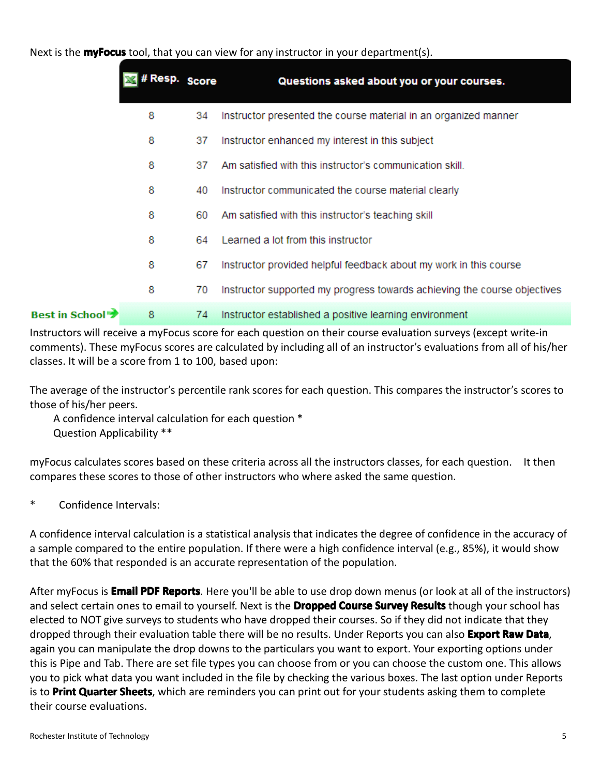Next is the **myFocus** tool, that you can view for any instructor in your department(s).

|                         | # Resp. Score |     | Questions asked about you or your courses.                               |
|-------------------------|---------------|-----|--------------------------------------------------------------------------|
|                         | 8             | 34  | Instructor presented the course material in an organized manner          |
|                         | 8             | 37  | Instructor enhanced my interest in this subject                          |
|                         | 8             | 37  | Am satisfied with this instructor's communication skill.                 |
|                         | 8             | 40  | Instructor communicated the course material clearly                      |
|                         | 8             | 60  | Am satisfied with this instructor's teaching skill                       |
|                         | 8             | 64. | Learned a lot from this instructor                                       |
|                         | 8             | 67  | Instructor provided helpful feedback about my work in this course        |
|                         | 8             | 70  | Instructor supported my progress towards achieving the course objectives |
| <b>Best in School →</b> | 8             | 74  | Instructor established a positive learning environment                   |

Instructors will receive <sup>a</sup> myFocus score for each question on their course evaluation surveys (except write-in comments). These myFocus scores are calculated by including all of an instructor's evaluations from all of his/her classes. Itwill be <sup>a</sup> score from 1 to 100, based upon:

The average of the instructor's percentile rank scores for each question. This compares the instructor's scores to those of his/her peers.

A confidence interval calculation for each question \* Question Applicability \*\*

myFocus calculates scores based on these criteria across all the instructors classes, for each question. It then compares these scores to those of other instructors who where asked the same question.

\*Confidence Intervals:

A confidence interval calculation is <sup>a</sup> statistical analysis that indicates the degree of confidence in the accuracy of a sample compared to the entire population. If there were a high confidence interval (e.g., 85%), it would show that the 60% that responded is an accurate representation of the population.

After myFocus is **Email PDF Reports**. Here you'll be able to use drop down menus (or look at all of the instructors) and select certain ones to email to yourself. Next is the **Dropped Course Survey Results** though your school has elected to NOT give surveys to students who have dropped their courses. So if they did not indicate that they dropped through their evaluation table there will be no results. Under Reports you can also **Export Raw Data**, again you can manipulate the drop downs to the particulars you want to export. Your exporting options under this is Pipe and Tab. There are set file types you can choose from or you can choose the custom one. This allows you to pick what data you want included in the file by checking the various boxes. The last option under Reports is to **Print Quarter Sheets**, which are reminders you can print out for your students asking them to complete their course evaluations.